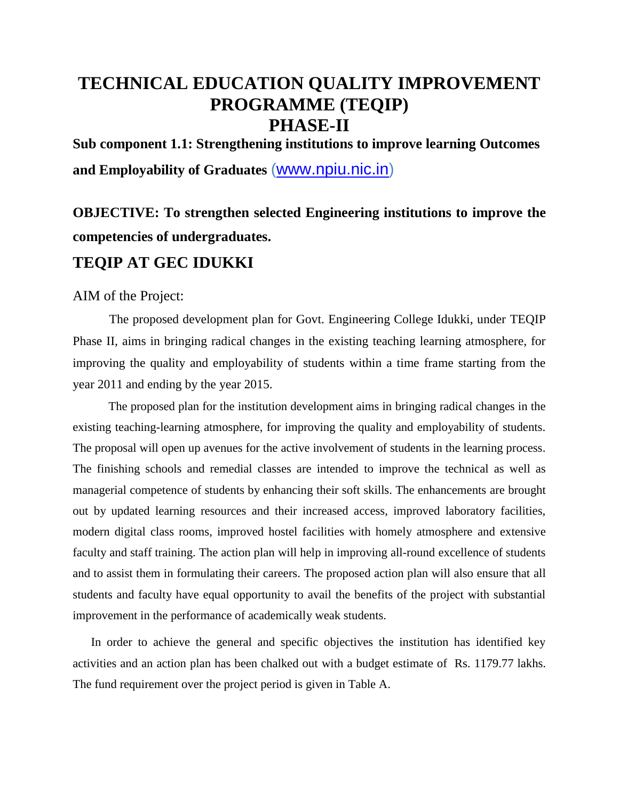## **TECHNICAL EDUCATION QUALITY IMPROVEMENT PROGRAMME (TEQIP) PHASE-II**

**Sub component 1.1: Strengthening institutions to improve learning Outcomes and Employability of Graduates** [\(www.npiu.nic.in\)](http://www.npiu.nic.in/)

# **OBJECTIVE: To strengthen selected Engineering institutions to improve the competencies of undergraduates.**

### **TEQIP AT GEC IDUKKI**

#### AIM of the Project:

The proposed development plan for Govt. Engineering College Idukki, under TEQIP Phase II, aims in bringing radical changes in the existing teaching learning atmosphere, for improving the quality and employability of students within a time frame starting from the year 2011 and ending by the year 2015.

The proposed plan for the institution development aims in bringing radical changes in the existing teaching-learning atmosphere, for improving the quality and employability of students. The proposal will open up avenues for the active involvement of students in the learning process. The finishing schools and remedial classes are intended to improve the technical as well as managerial competence of students by enhancing their soft skills. The enhancements are brought out by updated learning resources and their increased access, improved laboratory facilities, modern digital class rooms, improved hostel facilities with homely atmosphere and extensive faculty and staff training. The action plan will help in improving all-round excellence of students and to assist them in formulating their careers. The proposed action plan will also ensure that all students and faculty have equal opportunity to avail the benefits of the project with substantial improvement in the performance of academically weak students.

In order to achieve the general and specific objectives the institution has identified key activities and an action plan has been chalked out with a budget estimate of Rs. 1179.77 lakhs. The fund requirement over the project period is given in Table A.